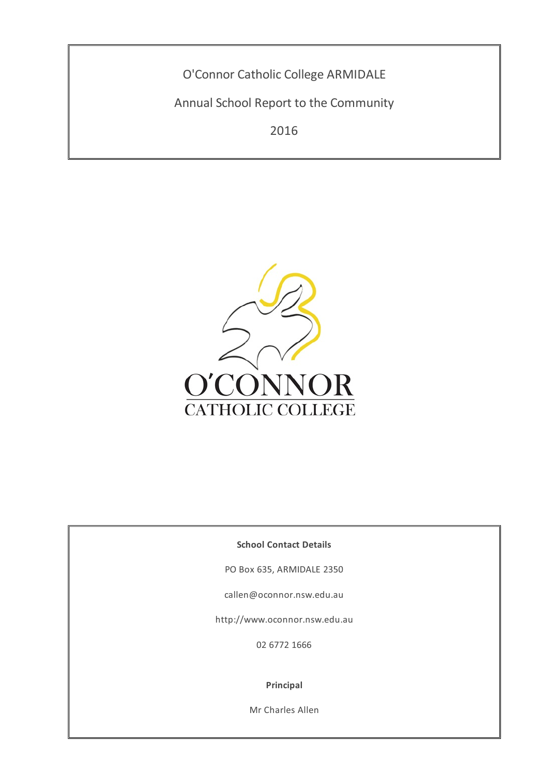O'Connor Catholic College ARMIDALE

Annual School Report to the Community

2016



**School Contact Details**

PO Box 635, ARMIDALE 2350

callen@oconnor.nsw.edu.au

http://www.oconnor.nsw.edu.au

02 6772 1666

**Principal**

Mr Charles Allen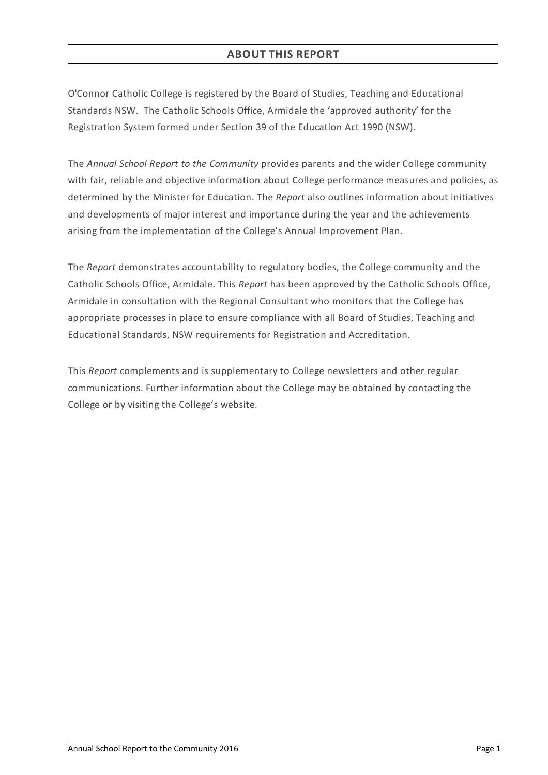O'Connor Catholic College is registered by the Board of Studies, Teaching and Educational Standards NSW. The Catholic Schools Office, Armidale the 'approved authority' for the Registration System formed under Section 39 of the Education Act 1990 (NSW).

The *Annual School Report to the Community* provides parents and the wider College community with fair, reliable and objective information about College performance measures and policies, as determined by the Minister for Education. The *Report* also outlines information about initiatives and developments of major interest and importance during the year and the achievements arising from the implementation of the College's Annual Improvement Plan.

The *Report* demonstrates accountability to regulatory bodies, the College community and the Catholic Schools Office, Armidale. This *Report* has been approved by the Catholic Schools Office, Armidale in consultation with the Regional Consultant who monitors that the College has appropriate processes in place to ensure compliance with all Board of Studies, Teaching and Educational Standards, NSW requirements for Registration and Accreditation.

This *Report* complements and is supplementary to College newsletters and other regular communications. Further information about the College may be obtained by contacting the College or by visiting the College's website.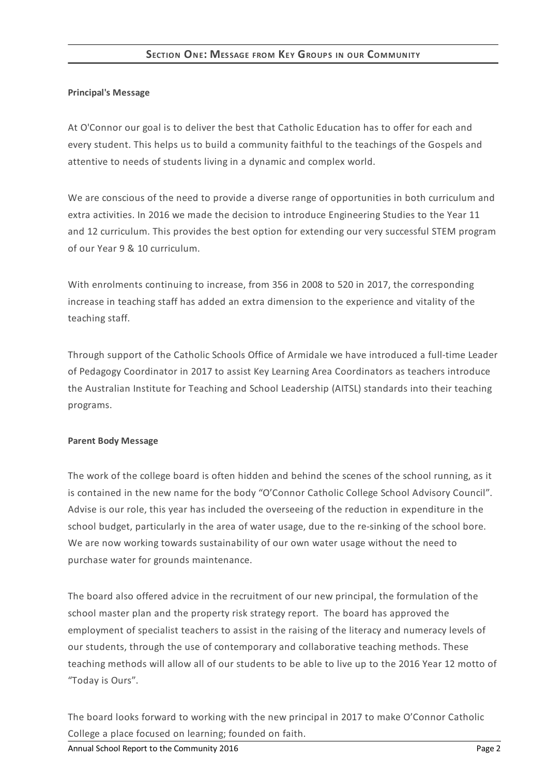## **Principal's Message**

At O'Connor our goal is to deliver the best that Catholic Education has to offer for each and every student. This helps us to build a community faithful to the teachings of the Gospels and attentive to needs of students living in a dynamic and complex world.

We are conscious of the need to provide a diverse range of opportunities in both curriculum and extra activities. In 2016 we made the decision to introduce Engineering Studies to the Year 11 and 12 curriculum. This provides the best option for extending our very successful STEM program of our Year 9 & 10 curriculum.

With enrolments continuing to increase, from 356 in 2008 to 520 in 2017, the corresponding increase in teaching staff has added an extra dimension to the experience and vitality of the teaching staff.

Through support of the Catholic Schools Office of Armidale we have introduced a full-time Leader of Pedagogy Coordinator in 2017 to assist Key Learning Area Coordinators as teachers introduce the Australian Institute for Teaching and School Leadership (AITSL) standards into their teaching programs.

### **Parent Body Message**

The work of the college board is often hidden and behind the scenes of the school running, as it is contained in the new name for the body "O'Connor Catholic College School Advisory Council". Advise is our role, this year has included the overseeing of the reduction in expenditure in the school budget, particularly in the area of water usage, due to the re-sinking of the school bore. We are now working towards sustainability of our own water usage without the need to purchase water for grounds maintenance.

The board also offered advice in the recruitment of our new principal, the formulation of the school master plan and the property risk strategy report. The board has approved the employment of specialist teachers to assist in the raising of the literacy and numeracy levels of our students, through the use of contemporary and collaborative teaching methods. These teaching methods will allow all of our students to be able to live up to the 2016 Year 12 motto of "Today is Ours".

The board looks forward to working with the new principal in 2017 to make O'Connor Catholic College a place focused on learning; founded on faith.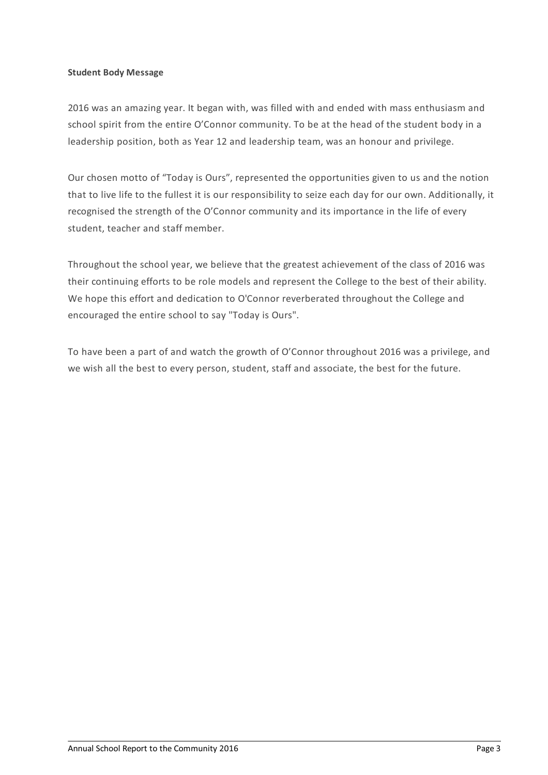### **Student Body Message**

2016 was an amazing year. It began with, was filled with and ended with mass enthusiasm and school spirit from the entire O'Connor community. To be at the head of the student body in a leadership position, both as Year 12 and leadership team, was an honour and privilege.

Our chosen motto of "Today is Ours", represented the opportunities given to us and the notion that to live life to the fullest it is our responsibility to seize each day for our own. Additionally, it recognised the strength of the O'Connor community and its importance in the life of every student, teacher and staff member.

Throughout the school year, we believe that the greatest achievement of the class of 2016 was their continuing efforts to be role models and represent the College to the best of their ability. We hope this effort and dedication to O'Connor reverberated throughout the College and encouraged the entire school to say "Today is Ours".

To have been a part of and watch the growth of O'Connor throughout 2016 was a privilege, and we wish all the best to every person, student, staff and associate, the best for the future.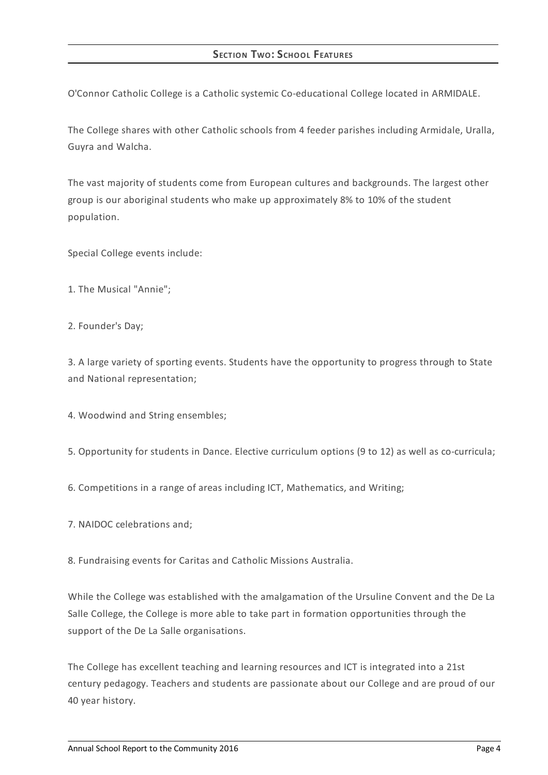O'Connor Catholic College is a Catholic systemic Co-educational College located in ARMIDALE.

The College shares with other Catholic schools from 4 feeder parishes including Armidale, Uralla, Guyra and Walcha.

The vast majority of students come from European cultures and backgrounds. The largest other group is our aboriginal students who make up approximately 8% to 10% of the student population.

Special College events include:

- 1. The Musical "Annie";
- 2. Founder's Day;

3. A large variety of sporting events. Students have the opportunity to progress through to State and National representation;

4. Woodwind and String ensembles;

5. Opportunity for students in Dance. Elective curriculum options (9 to 12) as well as co-curricula;

6. Competitions in a range of areas including ICT, Mathematics, and Writing;

7. NAIDOC celebrations and;

8. Fundraising events for Caritas and Catholic Missions Australia.

While the College was established with the amalgamation of the Ursuline Convent and the De La Salle College, the College is more able to take part in formation opportunities through the support of the De La Salle organisations.

The College has excellent teaching and learning resources and ICT is integrated into a 21st century pedagogy. Teachers and students are passionate about our College and are proud of our 40 year history.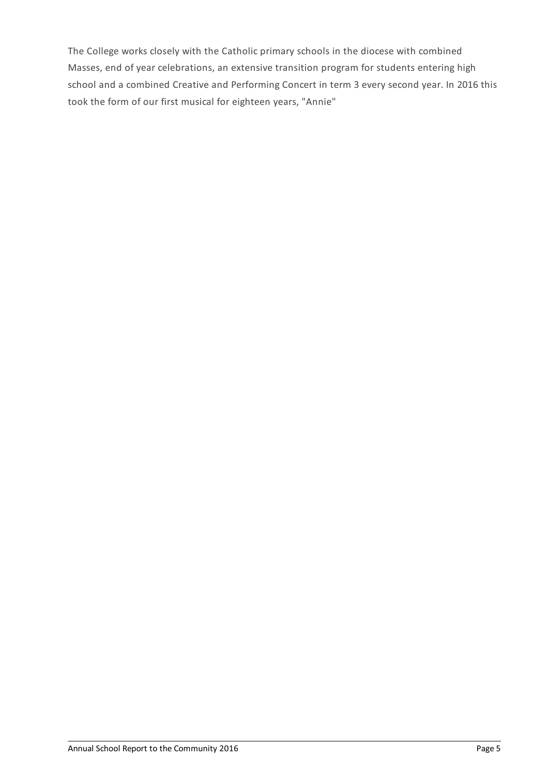The College works closely with the Catholic primary schools in the diocese with combined Masses, end of year celebrations, an extensive transition program for students entering high school and a combined Creative and Performing Concert in term 3 every second year. In 2016 this took the form of our first musical for eighteen years, "Annie"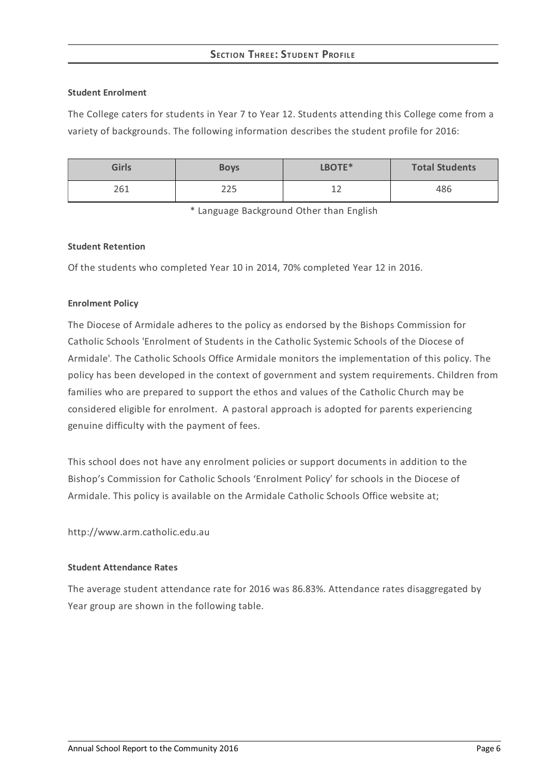# **SECTION THREE:STUDENT PROFILE**

### **Student Enrolment**

The College caters for students in Year 7 to Year 12. Students attending this College come from a variety of backgrounds. The following information describes the student profile for 2016:

| <b>Girls</b> | <b>Boys</b> | LBOTE*               | <b>Total Students</b> |
|--------------|-------------|----------------------|-----------------------|
| 261          | つつに<br>د∠∠  | 1 <sup>2</sup><br>∸∸ | 486                   |

\* Language Background Other than English

### **Student Retention**

Of the students who completed Year 10 in 2014, 70% completed Year 12 in 2016.

### **Enrolment Policy**

The Diocese of Armidale adheres to the policy as endorsed by the Bishops Commission for Catholic Schools 'Enrolment of Students in the Catholic Systemic Schools of the Diocese of Armidale'*[.](http://www.ceosyd.catholic.edu.au/About/Pages/pol-pos-papers.aspx)* The Catholic Schools Office Armidale monitors the implementation of this policy. The policy has been developed in the context of government and system requirements. Children from families who are prepared to support the ethos and values of the Catholic Church may be considered eligible for enrolment. A pastoral approach is adopted for parents experiencing genuine difficulty with the payment of fees.

This school does not have any enrolment policies or support documents in addition to the Bishop's Commission for Catholic Schools 'Enrolment Policy' for schools in the Diocese of Armidale. This policy is available on the Armidale Catholic Schools Office website at;

http://www.arm.catholic.edu.au

#### **Student Attendance Rates**

The average student attendance rate for 2016 was 86.83%. Attendance rates disaggregated by Year group are shown in the following table.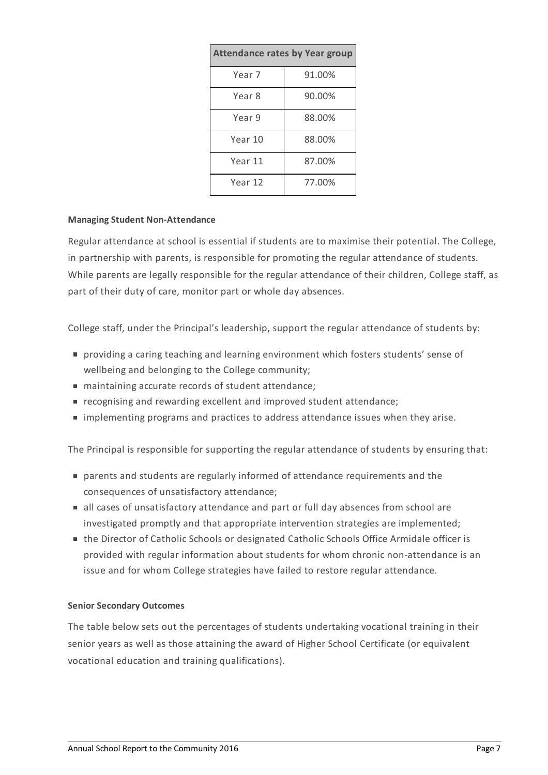| <b>Attendance rates by Year group</b> |        |  |  |  |
|---------------------------------------|--------|--|--|--|
| Year 7                                | 91.00% |  |  |  |
| Year 8                                | 90.00% |  |  |  |
| Year 9                                | 88.00% |  |  |  |
| Year 10                               | 88.00% |  |  |  |
| Year 11                               | 87.00% |  |  |  |
| Year 12                               | 77.00% |  |  |  |

### **Managing Student Non-Attendance**

Regular attendance at school is essential if students are to maximise their potential. The College, in partnership with parents, is responsible for promoting the regular attendance of students. While parents are legally responsible for the regular attendance of their children, College staff, as part of their duty of care, monitor part or whole day absences.

College staff, under the Principal's leadership, support the regular attendance of students by:

- providing a caring teaching and learning environment which fosters students' sense of wellbeing and belonging to the College community;
- maintaining accurate records of student attendance;
- recognising and rewarding excellent and improved student attendance;
- implementing programs and practices to address attendance issues when they arise.

The Principal is responsible for supporting the regular attendance of students by ensuring that:

- parents and students are regularly informed of attendance requirements and the consequences of unsatisfactory attendance;
- all cases of unsatisfactory attendance and part or full day absences from school are investigated promptly and that appropriate intervention strategies are implemented;
- the Director of Catholic Schools or designated Catholic Schools Office Armidale officer is provided with regular information about students for whom chronic non-attendance is an issue and for whom College strategies have failed to restore regular attendance.

#### **Senior Secondary Outcomes**

The table below sets out the percentages of students undertaking vocational training in their senior years as well as those attaining the award of Higher School Certificate (or equivalent vocational education and training qualifications).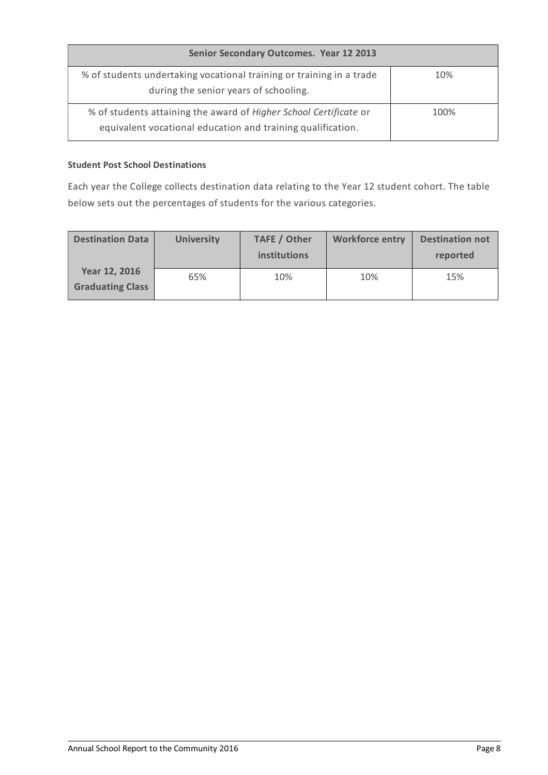| Senior Secondary Outcomes. Year 12 2013                                                                                          |      |  |  |
|----------------------------------------------------------------------------------------------------------------------------------|------|--|--|
| % of students undertaking vocational training or training in a trade<br>during the senior years of schooling.                    | 10%  |  |  |
| % of students attaining the award of Higher School Certificate or<br>equivalent vocational education and training qualification. | 100% |  |  |

# **Student Post School Destinations**

Each year the College collects destination data relating to the Year 12 student cohort. The table below sets out the percentages of students for the various categories.

| <b>Destination Data</b>                  | <b>University</b> | TAFE / Other<br><i>institutions</i> | <b>Workforce entry</b> | <b>Destination not</b><br>reported |
|------------------------------------------|-------------------|-------------------------------------|------------------------|------------------------------------|
| Year 12, 2016<br><b>Graduating Class</b> | 65%               | 10%                                 | 10%                    | 15%                                |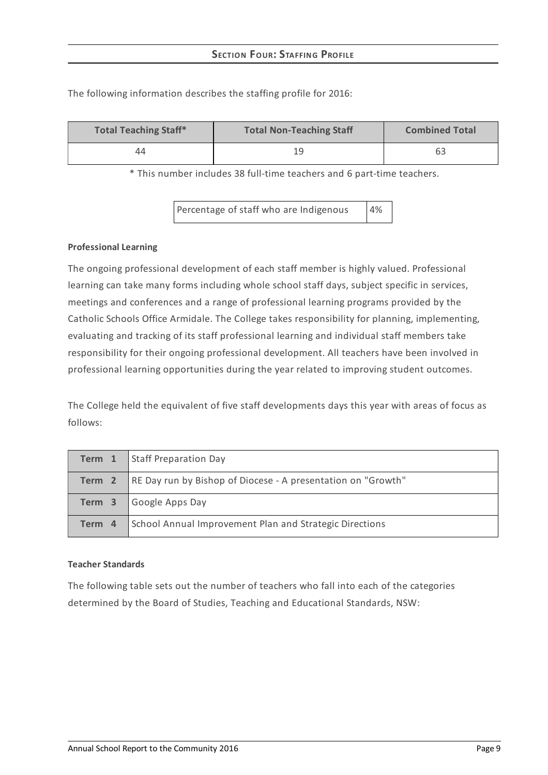| <b>Total Teaching Staff*</b> | <b>Total Non-Teaching Staff</b> | <b>Combined Total</b> |
|------------------------------|---------------------------------|-----------------------|
| 44                           | 19                              | 63                    |

The following information describes the staffing profile for 2016:

\* This number includes 38 full-time teachers and 6 part-time teachers.

Percentage of staff who are Indigenous 4%

### **Professional Learning**

The ongoing professional development of each staff member is highly valued. Professional learning can take many forms including whole school staff days, subject specific in services, meetings and conferences and a range of professional learning programs provided by the Catholic Schools Office Armidale. The College takes responsibility for planning, implementing, evaluating and tracking of its staff professional learning and individual staff members take responsibility for their ongoing professional development. All teachers have been involved in professional learning opportunities during the year related to improving student outcomes.

The College held the equivalent of five staff developments days this year with areas of focus as follows:

|        | <b>Term 1</b> Staff Preparation Day                                        |
|--------|----------------------------------------------------------------------------|
|        | <b>Term 2</b> RE Day run by Bishop of Diocese - A presentation on "Growth" |
|        | <b>Term 3</b> Google Apps Day                                              |
| Term 4 | School Annual Improvement Plan and Strategic Directions                    |

#### **Teacher Standards**

The following table sets out the number of teachers who fall into each of the categories determined by the Board of Studies, Teaching and Educational Standards, NSW: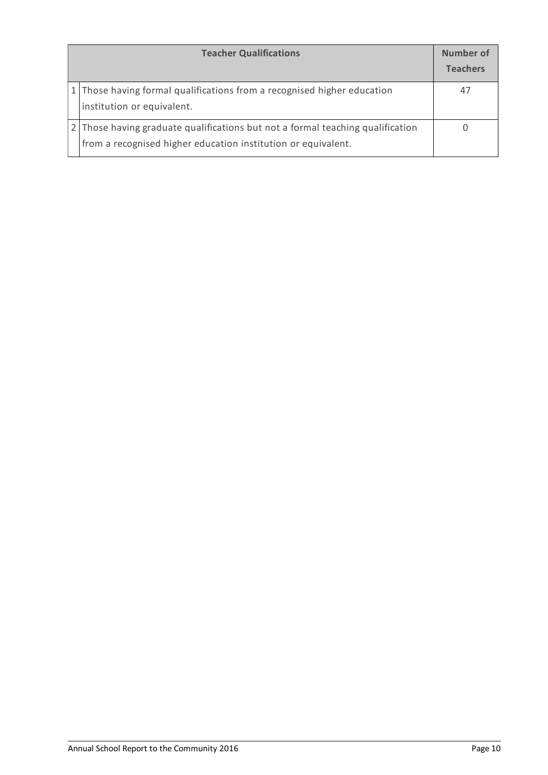| <b>Teacher Qualifications</b>                                                                                                                   |    |  |  |
|-------------------------------------------------------------------------------------------------------------------------------------------------|----|--|--|
| 1 Those having formal qualifications from a recognised higher education<br>institution or equivalent.                                           | 47 |  |  |
| 2 Those having graduate qualifications but not a formal teaching qualification<br>from a recognised higher education institution or equivalent. |    |  |  |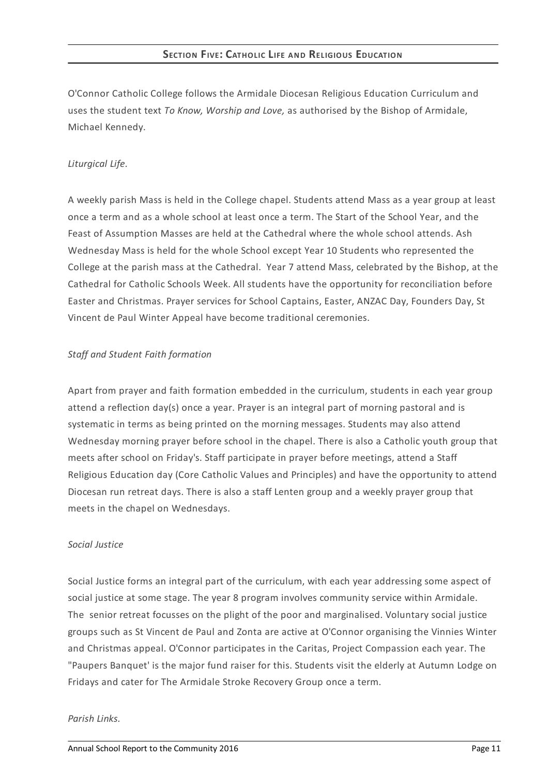O'Connor Catholic College follows the Armidale Diocesan Religious Education Curriculum and uses the student text *To Know, Worship and Love,* as authorised by the Bishop of Armidale, Michael Kennedy.

# *Liturgical Life.*

A weekly parish Mass is held in the College chapel. Students attend Mass as a year group at least once a term and as a whole school at least once a term. The Start of the School Year, and the Feast of Assumption Masses are held at the Cathedral where the whole school attends. Ash Wednesday Mass is held for the whole School except Year 10 Students who represented the College at the parish mass at the Cathedral. Year 7 attend Mass, celebrated by the Bishop, at the Cathedral for Catholic Schools Week. All students have the opportunity for reconciliation before Easter and Christmas. Prayer services for School Captains, Easter, ANZAC Day, Founders Day, St Vincent de Paul Winter Appeal have become traditional ceremonies.

### *Staff and Student Faith formation*

Apart from prayer and faith formation embedded in the curriculum, students in each year group attend a reflection day(s) once a year. Prayer is an integral part of morning pastoral and is systematic in terms as being printed on the morning messages. Students may also attend Wednesday morning prayer before school in the chapel. There is also a Catholic youth group that meets after school on Friday's. Staff participate in prayer before meetings, attend a Staff Religious Education day (Core Catholic Values and Principles) and have the opportunity to attend Diocesan run retreat days. There is also a staff Lenten group and a weekly prayer group that meets in the chapel on Wednesdays.

### *Social Justice*

Social Justice forms an integral part of the curriculum, with each year addressing some aspect of social justice at some stage. The year 8 program involves community service within Armidale. The senior retreat focusses on the plight of the poor and marginalised. Voluntary social justice groups such as St Vincent de Paul and Zonta are active at O'Connor organising the Vinnies Winter and Christmas appeal. O'Connor participates in the Caritas, Project Compassion each year. The "Paupers Banquet' is the major fund raiser for this. Students visit the elderly at Autumn Lodge on Fridays and cater for The Armidale Stroke Recovery Group once a term.

#### *Parish Links.*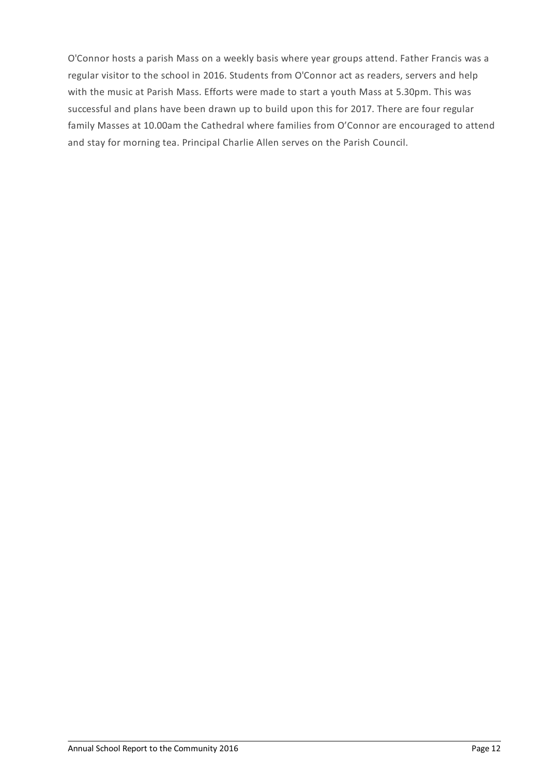O'Connor hosts a parish Mass on a weekly basis where year groups attend. Father Francis was a regular visitor to the school in 2016. Students from O'Connor act as readers, servers and help with the music at Parish Mass. Efforts were made to start a youth Mass at 5.30pm. This was successful and plans have been drawn up to build upon this for 2017. There are four regular family Masses at 10.00am the Cathedral where families from O'Connor are encouraged to attend and stay for morning tea. Principal Charlie Allen serves on the Parish Council.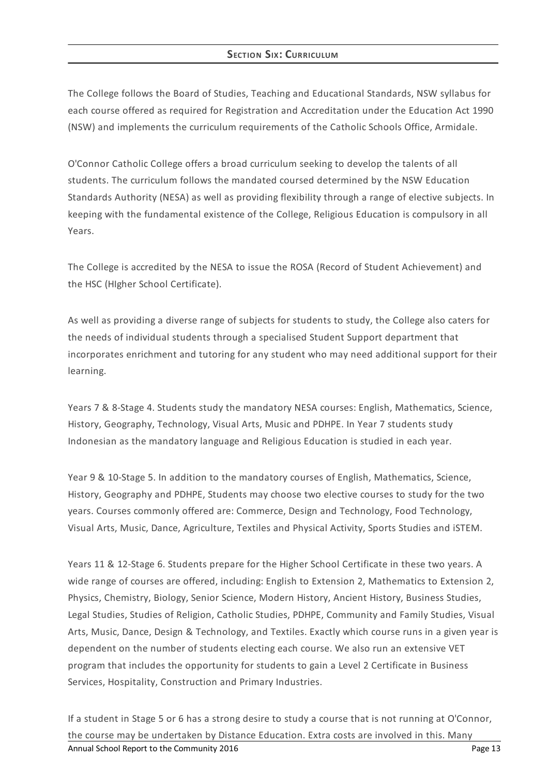# **SECTION SIX: CURRICULUM**

The College follows the Board of Studies, Teaching and Educational Standards, NSW syllabus for each course offered as required for Registration and Accreditation under the Education Act 1990 (NSW) and implements the curriculum requirements of the Catholic Schools Office, Armidale.

O'Connor Catholic College offers a broad curriculum seeking to develop the talents of all students. The curriculum follows the mandated coursed determined by the NSW Education Standards Authority (NESA) as well as providing flexibility through a range of elective subjects. In keeping with the fundamental existence of the College, Religious Education is compulsory in all Years.

The College is accredited by the NESA to issue the ROSA (Record of Student Achievement) and the HSC (HIgher School Certificate).

As well as providing a diverse range of subjects for students to study, the College also caters for the needs of individual students through a specialised Student Support department that incorporates enrichment and tutoring for any student who may need additional support for their learning.

Years 7 & 8-Stage 4. Students study the mandatory NESA courses: English, Mathematics, Science, History, Geography, Technology, Visual Arts, Music and PDHPE. In Year 7 students study Indonesian as the mandatory language and Religious Education is studied in each year.

Year 9 & 10-Stage 5. In addition to the mandatory courses of English, Mathematics, Science, History, Geography and PDHPE, Students may choose two elective courses to study for the two years. Courses commonly offered are: Commerce, Design and Technology, Food Technology, Visual Arts, Music, Dance, Agriculture, Textiles and Physical Activity, Sports Studies and iSTEM.

Years 11 & 12-Stage 6. Students prepare for the Higher School Certificate in these two years. A wide range of courses are offered, including: English to Extension 2, Mathematics to Extension 2, Physics, Chemistry, Biology, Senior Science, Modern History, Ancient History, Business Studies, Legal Studies, Studies of Religion, Catholic Studies, PDHPE, Community and Family Studies, Visual Arts, Music, Dance, Design & Technology, and Textiles. Exactly which course runs in a given year is dependent on the number of students electing each course. We also run an extensive VET program that includes the opportunity for students to gain a Level 2 Certificate in Business Services, Hospitality, Construction and Primary Industries.

If a student in Stage 5 or 6 has a strong desire to study a course that is not running at O'Connor, the course may be undertaken by Distance Education. Extra costs are involved in this. Many Annual School Report to the Community 2016 **Page 13** Annual School Report to the Community 2016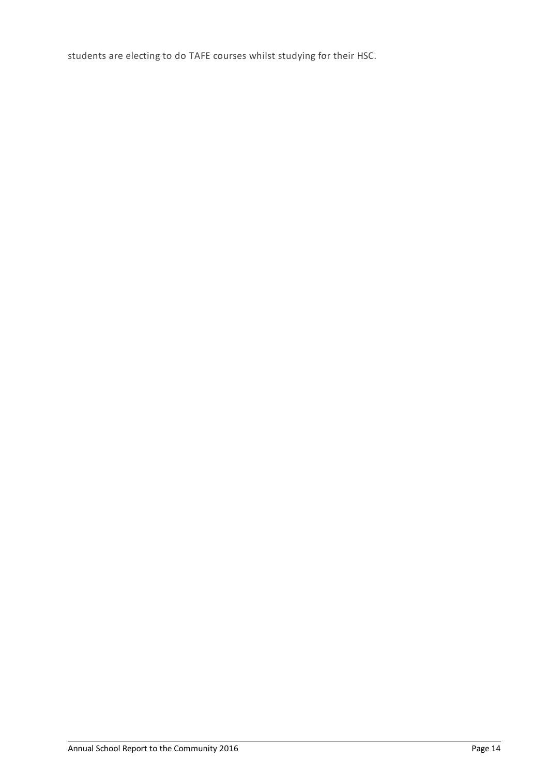students are electing to do TAFE courses whilst studying for their HSC.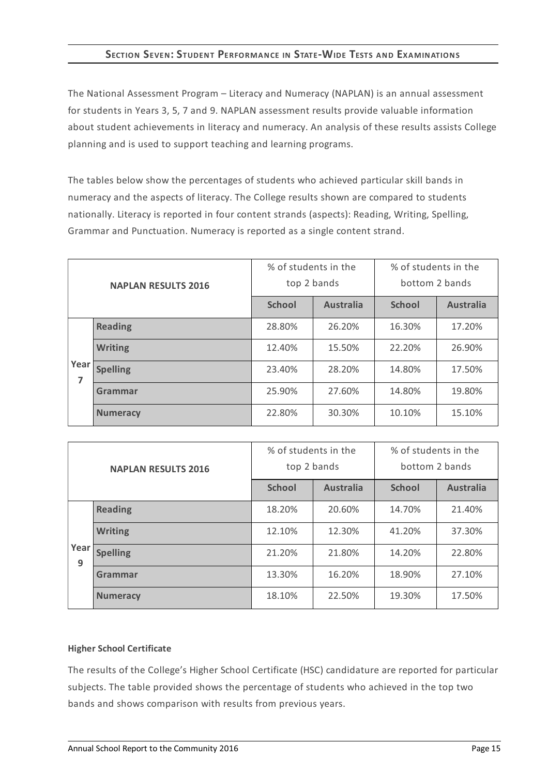# **SECTION SEVEN:STUDENT PERFORMANCE IN STATE-WIDE TESTS AND EXAMINATIONS**

The National Assessment Program – Literacy and Numeracy (NAPLAN) is an annual assessment for students in Years 3, 5, 7 and 9. NAPLAN assessment results provide valuable information about student achievements in literacy and numeracy. An analysis of these results assists College planning and is used to support teaching and learning programs.

The tables below show the percentages of students who achieved particular skill bands in numeracy and the aspects of literacy. The College results shown are compared to students nationally. Literacy is reported in four content strands (aspects): Reading, Writing, Spelling, Grammar and Punctuation. Numeracy is reported as a single content strand.

| <b>NAPLAN RESULTS 2016</b> |                 | % of students in the | top 2 bands      | % of students in the<br>bottom 2 bands |                  |
|----------------------------|-----------------|----------------------|------------------|----------------------------------------|------------------|
|                            |                 | <b>School</b>        | <b>Australia</b> | <b>School</b>                          | <b>Australia</b> |
|                            | <b>Reading</b>  | 28.80%               | 26.20%           | 16.30%                                 | 17.20%           |
|                            | <b>Writing</b>  | 12.40%               | 15.50%           | 22.20%                                 | 26.90%           |
| Year<br>7                  | <b>Spelling</b> | 23.40%               | 28.20%           | 14.80%                                 | 17.50%           |
|                            | Grammar         | 25.90%               | 27.60%           | 14.80%                                 | 19.80%           |
|                            | <b>Numeracy</b> | 22.80%               | 30.30%           | 10.10%                                 | 15.10%           |

| <b>NAPLAN RESULTS 2016</b> |                 | % of students in the<br>top 2 bands |                  | % of students in the<br>bottom 2 bands |                  |
|----------------------------|-----------------|-------------------------------------|------------------|----------------------------------------|------------------|
|                            |                 | <b>School</b>                       | <b>Australia</b> | <b>School</b>                          | <b>Australia</b> |
|                            | <b>Reading</b>  | 18.20%                              | 20.60%           | 14.70%                                 | 21.40%           |
| Year<br>9                  | <b>Writing</b>  | 12.10%                              | 12.30%           | 41.20%                                 | 37.30%           |
|                            | <b>Spelling</b> | 21.20%                              | 21.80%           | 14.20%                                 | 22.80%           |
|                            | Grammar         | 13.30%                              | 16.20%           | 18.90%                                 | 27.10%           |
|                            | <b>Numeracy</b> | 22.50%<br>18.10%                    |                  | 19.30%                                 | 17.50%           |

### **Higher School Certificate**

The results of the College's Higher School Certificate (HSC) candidature are reported for particular subjects. The table provided shows the percentage of students who achieved in the top two bands and shows comparison with results from previous years.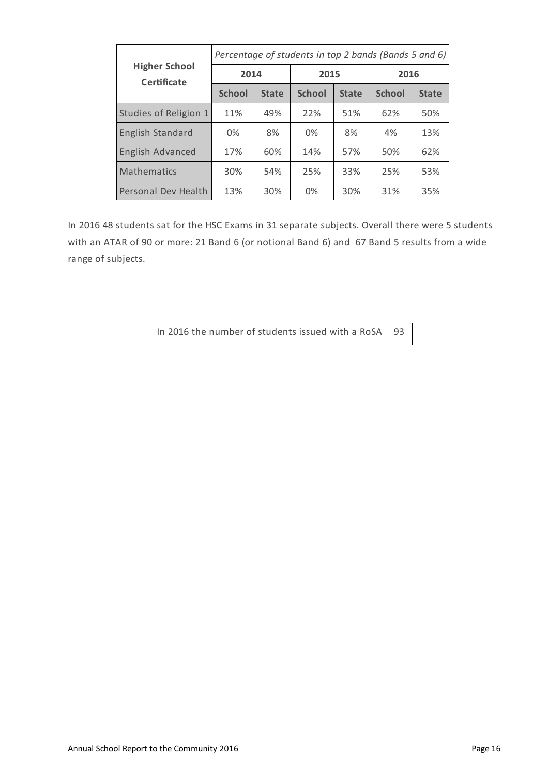|                                            | Percentage of students in top 2 bands (Bands 5 and 6) |              |               |              |               |              |  |
|--------------------------------------------|-------------------------------------------------------|--------------|---------------|--------------|---------------|--------------|--|
| <b>Higher School</b><br><b>Certificate</b> | 2014                                                  |              | 2015          |              | 2016          |              |  |
|                                            | <b>School</b>                                         | <b>State</b> | <b>School</b> | <b>State</b> | <b>School</b> | <b>State</b> |  |
| Studies of Religion 1                      | 11%                                                   | 49%          | 22%           | 51%          | 62%           | 50%          |  |
| <b>English Standard</b>                    | 0%                                                    | 8%           | 0%            | 8%           | 4%            | 13%          |  |
| <b>English Advanced</b>                    | 17%                                                   | 60%          | 14%           | 57%          | 50%           | 62%          |  |
| <b>Mathematics</b>                         | 30%                                                   | 54%          | 25%           | 33%          | 25%           | 53%          |  |
| <b>Personal Dev Health</b>                 | 13%                                                   | 30%          | 0%            | 30%          | 31%           | 35%          |  |

In 2016 48 students sat for the HSC Exams in 31 separate subjects. Overall there were 5 students with an ATAR of 90 or more: 21 Band 6 (or notional Band 6) and 67 Band 5 results from a wide range of subjects.

In 2016 the number of students issued with a RoSA  $\vert$  93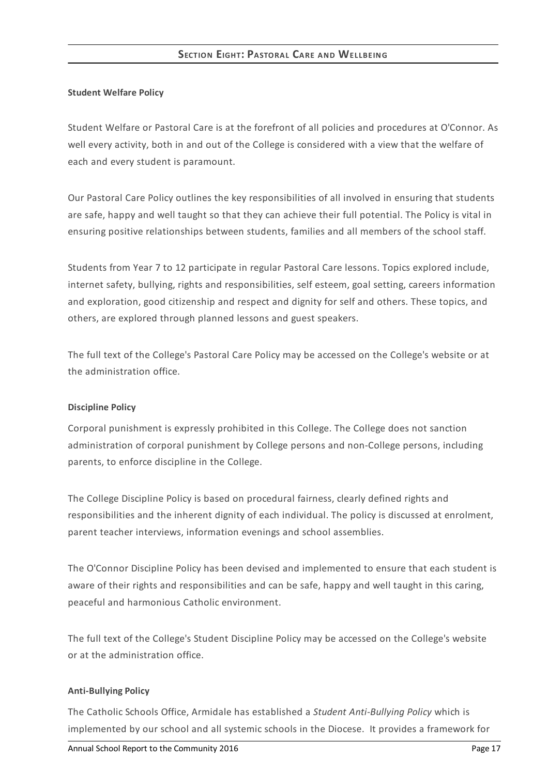### **Student Welfare Policy**

Student Welfare or Pastoral Care is at the forefront of all policies and procedures at O'Connor. As well every activity, both in and out of the College is considered with a view that the welfare of each and every student is paramount.

Our Pastoral Care Policy outlines the key responsibilities of all involved in ensuring that students are safe, happy and well taught so that they can achieve their full potential. The Policy is vital in ensuring positive relationships between students, families and all members of the school staff.

Students from Year 7 to 12 participate in regular Pastoral Care lessons. Topics explored include, internet safety, bullying, rights and responsibilities, self esteem, goal setting, careers information and exploration, good citizenship and respect and dignity for self and others. These topics, and others, are explored through planned lessons and guest speakers.

The full text of the College's Pastoral Care Policy may be accessed on the College's website or at the administration office.

### **Discipline Policy**

Corporal punishment is expressly prohibited in this College. The College does not sanction administration of corporal punishment by College persons and non-College persons, including parents, to enforce discipline in the College.

The College Discipline Policy is based on procedural fairness, clearly defined rights and responsibilities and the inherent dignity of each individual. The policy is discussed at enrolment, parent teacher interviews, information evenings and school assemblies.

The O'Connor Discipline Policy has been devised and implemented to ensure that each student is aware of their rights and responsibilities and can be safe, happy and well taught in this caring, peaceful and harmonious Catholic environment.

The full text of the College's Student Discipline Policy may be accessed on the College's website or at the administration office.

### **Anti-Bullying Policy**

The Catholic Schools Office, Armidale has established a *Student Anti-Bullying Policy* which is implemented by our school and all systemic schools in the Diocese. It provides a framework for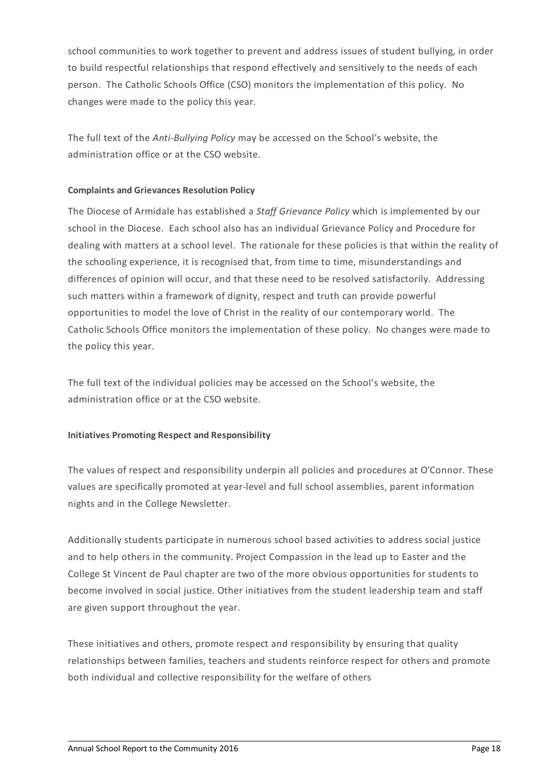school communities to work together to prevent and address issues of student bullying, in order to build respectful relationships that respond effectively and sensitively to the needs of each person. The Catholic Schools Office (CSO) monitors the implementation of this policy. No changes were made to the policy this year.

The full text of the *Anti-Bullying Policy* may be accessed on the School's website, the administration office or at the CSO website.

# **Complaints and Grievances Resolution Policy**

The Diocese of Armidale has established a *Staff Grievance Policy* which is implemented by our school in the Diocese. Each school also has an individual Grievance Policy and Procedure for dealing with matters at a school level. The rationale for these policies is that within the reality of the schooling experience, it is recognised that, from time to time, misunderstandings and differences of opinion will occur, and that these need to be resolved satisfactorily. Addressing such matters within a framework of dignity, respect and truth can provide powerful opportunities to model the love of Christ in the reality of our contemporary world. The Catholic Schools Office monitors the implementation of these policy. No changes were made to the policy this year.

The full text of the individual policies may be accessed on the School's website, the administration office or at the CSO website.

### **Initiatives Promoting Respect and Responsibility**

The values of respect and responsibility underpin all policies and procedures at O'Connor. These values are specifically promoted at year-level and full school assemblies, parent information nights and in the College Newsletter.

Additionally students participate in numerous school based activities to address social justice and to help others in the community. Project Compassion in the lead up to Easter and the College St Vincent de Paul chapter are two of the more obvious opportunities for students to become involved in social justice. Other initiatives from the student leadership team and staff are given support throughout the year.

These initiatives and others, promote respect and responsibility by ensuring that quality relationships between families, teachers and students reinforce respect for others and promote both individual and collective responsibility for the welfare of others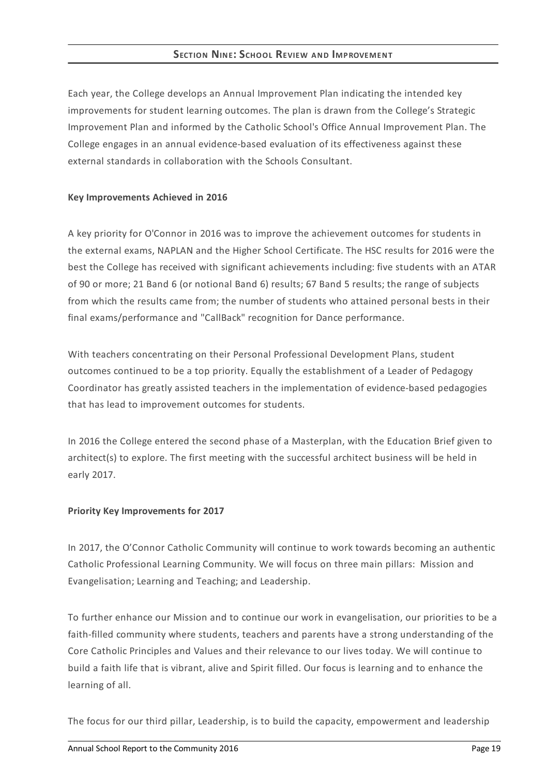# **SECTION NINE:SCHOOL REVIEW AND IMPROVEMENT**

Each year, the College develops an Annual Improvement Plan indicating the intended key improvements for student learning outcomes. The plan is drawn from the College's Strategic Improvement Plan and informed by the Catholic School's Office Annual Improvement Plan. The College engages in an annual evidence-based evaluation of its effectiveness against these external standards in collaboration with the Schools Consultant.

### **Key Improvements Achieved in 2016**

A key priority for O'Connor in 2016 was to improve the achievement outcomes for students in the external exams, NAPLAN and the Higher School Certificate. The HSC results for 2016 were the best the College has received with significant achievements including: five students with an ATAR of 90 or more; 21 Band 6 (or notional Band 6) results; 67 Band 5 results; the range of subjects from which the results came from; the number of students who attained personal bests in their final exams/performance and "CallBack" recognition for Dance performance.

With teachers concentrating on their Personal Professional Development Plans, student outcomes continued to be a top priority. Equally the establishment of a Leader of Pedagogy Coordinator has greatly assisted teachers in the implementation of evidence-based pedagogies that has lead to improvement outcomes for students.

In 2016 the College entered the second phase of a Masterplan, with the Education Brief given to architect(s) to explore. The first meeting with the successful architect business will be held in early 2017.

### **Priority Key Improvements for 2017**

In 2017, the O'Connor Catholic Community will continue to work towards becoming an authentic Catholic Professional Learning Community. We will focus on three main pillars: Mission and Evangelisation; Learning and Teaching; and Leadership.

To further enhance our Mission and to continue our work in evangelisation, our priorities to be a faith-filled community where students, teachers and parents have a strong understanding of the Core Catholic Principles and Values and their relevance to our lives today. We will continue to build a faith life that is vibrant, alive and Spirit filled. Our focus is learning and to enhance the learning of all.

The focus for our third pillar, Leadership, is to build the capacity, empowerment and leadership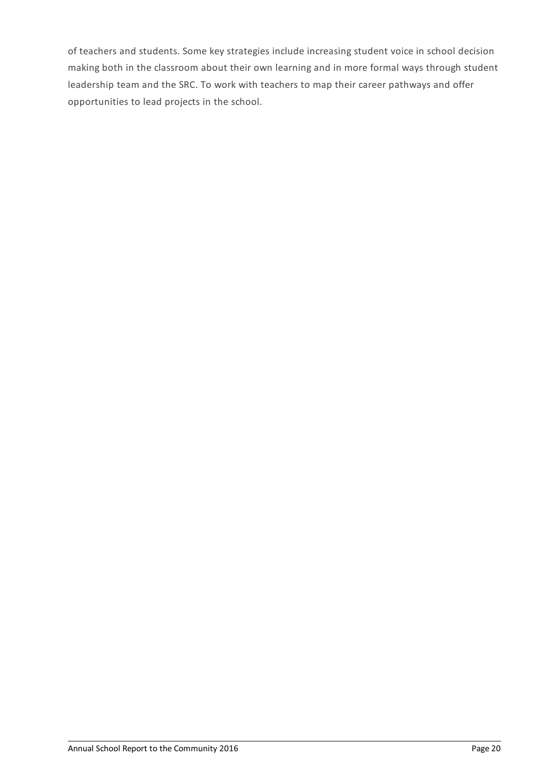of teachers and students. Some key strategies include increasing student voice in school decision making both in the classroom about their own learning and in more formal ways through student leadership team and the SRC. To work with teachers to map their career pathways and offer opportunities to lead projects in the school.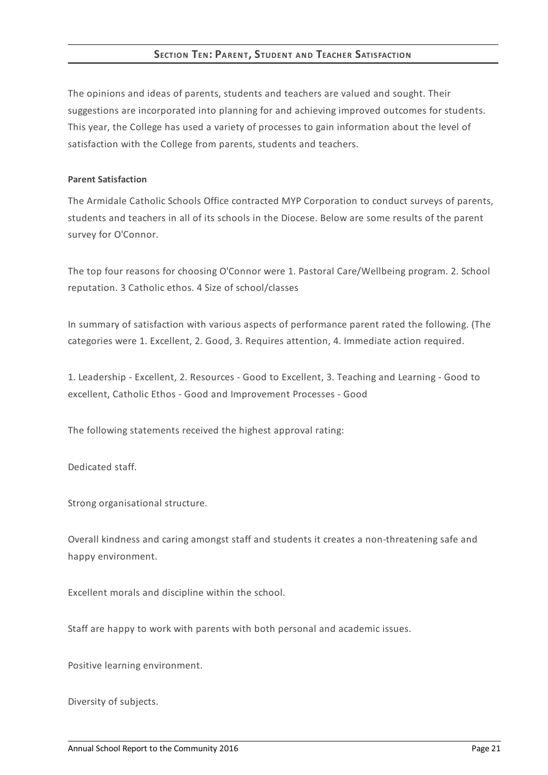# **SECTION TEN: PARENT, STUDENT AND TEACHER SATISFACTION**

The opinions and ideas of parents, students and teachers are valued and sought. Their suggestions are incorporated into planning for and achieving improved outcomes for students. This year, the College has used a variety of processes to gain information about the level of satisfaction with the College from parents, students and teachers.

### **Parent Satisfaction**

The Armidale Catholic Schools Office contracted MYP Corporation to conduct surveys of parents, students and teachers in all of its schools in the Diocese. Below are some results of the parent survey for O'Connor.

The top four reasons for choosing O'Connor were 1. Pastoral Care/Wellbeing program. 2. School reputation. 3 Catholic ethos. 4 Size of school/classes

In summary of satisfaction with various aspects of performance parent rated the following. (The categories were 1. Excellent, 2. Good, 3. Requires attention, 4. Immediate action required.

1. Leadership - Excellent, 2. Resources - Good to Excellent, 3. Teaching and Learning - Good to excellent, Catholic Ethos - Good and Improvement Processes - Good

The following statements received the highest approval rating:

Dedicated staff.

Strong organisational structure.

Overall kindness and caring amongst staff and students it creates a non-threatening safe and happy environment.

Excellent morals and discipline within the school.

Staff are happy to work with parents with both personal and academic issues.

Positive learning environment.

Diversity of subjects.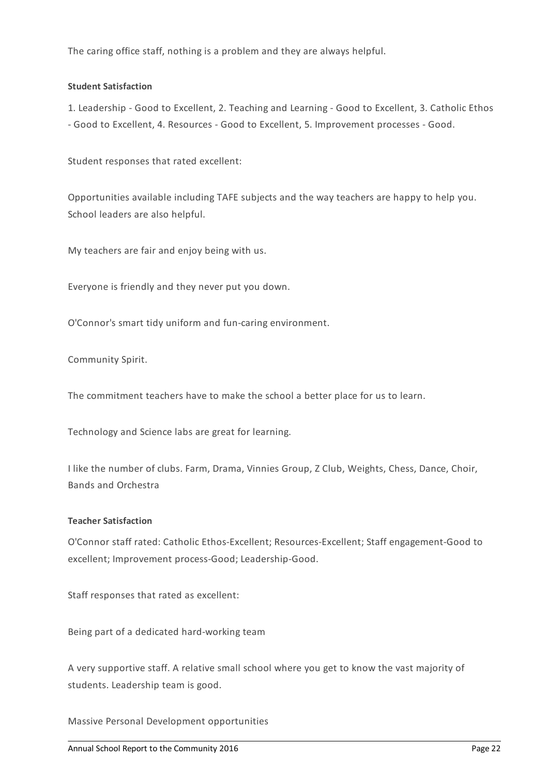The caring office staff, nothing is a problem and they are always helpful.

## **Student Satisfaction**

1. Leadership - Good to Excellent, 2. Teaching and Learning - Good to Excellent, 3. Catholic Ethos - Good to Excellent, 4. Resources - Good to Excellent, 5. Improvement processes - Good.

Student responses that rated excellent:

Opportunities available including TAFE subjects and the way teachers are happy to help you. School leaders are also helpful.

My teachers are fair and enjoy being with us.

Everyone is friendly and they never put you down.

O'Connor's smart tidy uniform and fun-caring environment.

Community Spirit.

The commitment teachers have to make the school a better place for us to learn.

Technology and Science labs are great for learning.

I like the number of clubs. Farm, Drama, Vinnies Group, Z Club, Weights, Chess, Dance, Choir, Bands and Orchestra

### **Teacher Satisfaction**

O'Connor staff rated: CatholicEthos-Excellent; Resources-Excellent; Staff engagement-Good to excellent; Improvement process-Good; Leadership-Good.

Staff responses that rated as excellent:

Being part of a dedicated hard-working team

A very supportive staff. A relative small school where you get to know the vast majority of students. Leadership team is good.

Massive Personal Development opportunities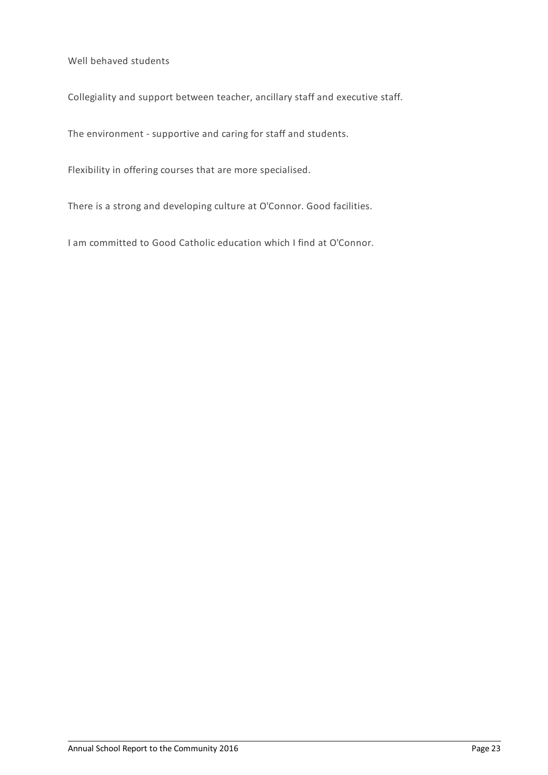Well behaved students

Collegiality and support between teacher, ancillary staff and executive staff.

The environment - supportive and caring for staff and students.

Flexibility in offering courses that are more specialised.

There is a strong and developing culture at O'Connor. Good facilities.

I am committed to Good Catholic education which I find at O'Connor.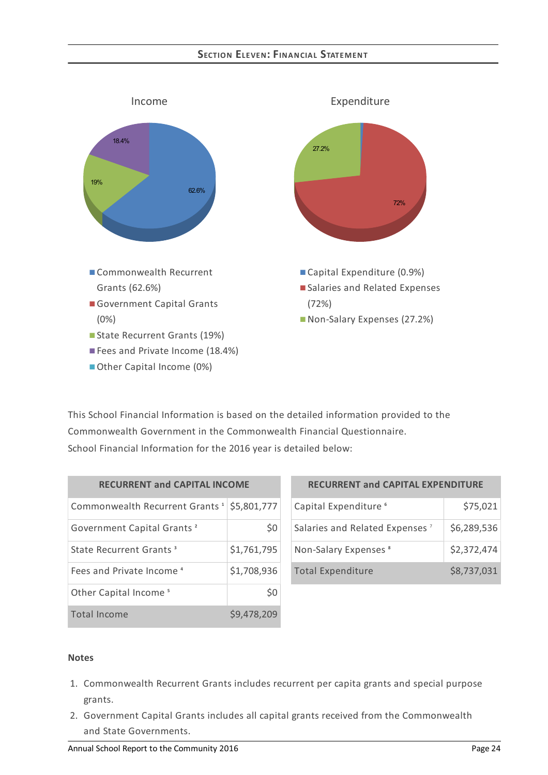# **SECTION ELEVEN:FINANCIAL STATEMENT**



This School Financial Information is based on the detailed information provided to the Commonwealth Government in the Commonwealth Financial Questionnaire. School Financial Information for the 2016 year is detailed below:

| <b>RECURRENT and CAPITAL INCOME</b>                    |             |  |  |  |
|--------------------------------------------------------|-------------|--|--|--|
| Commonwealth Recurrent Grants <sup>1</sup> \$5,801,777 |             |  |  |  |
| Government Capital Grants <sup>2</sup>                 | S0          |  |  |  |
| State Recurrent Grants <sup>3</sup>                    | \$1,761,795 |  |  |  |
| Fees and Private Income <sup>4</sup>                   | \$1,708,936 |  |  |  |
| Other Capital Income <sup>5</sup>                      |             |  |  |  |
| Total Income                                           | \$9,478,209 |  |  |  |

| <b>RECURRENT and CAPITAL EXPENDITURE</b>   |             |  |  |  |
|--------------------------------------------|-------------|--|--|--|
| Capital Expenditure <sup>6</sup>           | \$75,021    |  |  |  |
| Salaries and Related Expenses <sup>7</sup> | \$6,289,536 |  |  |  |
| Non-Salary Expenses <sup>8</sup>           | \$2,372,474 |  |  |  |
| <b>Total Expenditure</b>                   | \$8,737,031 |  |  |  |

### **Notes**

- 1. Commonwealth Recurrent Grants includes recurrent per capita grants and special purpose grants.
- 2. Government Capital Grants includes all capital grants received from the Commonwealth and State Governments.